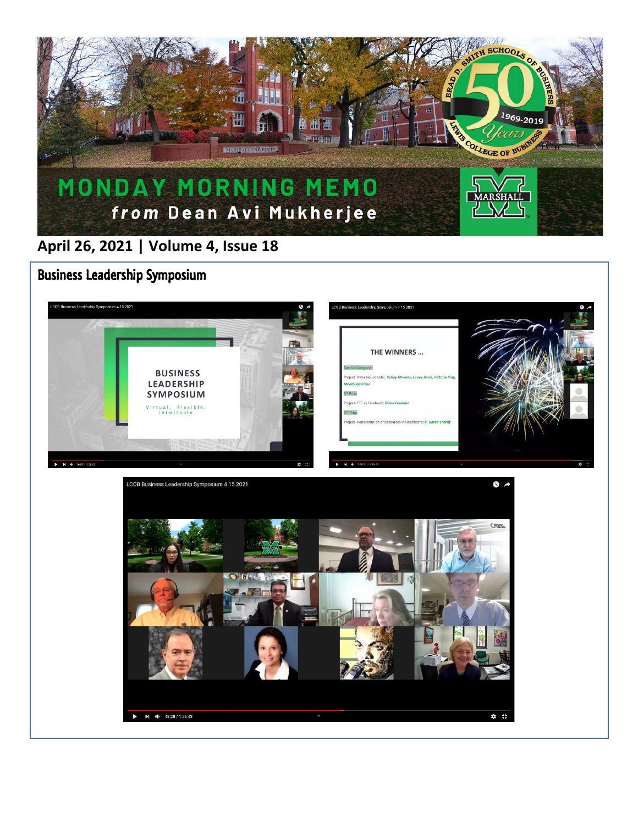

## **April 26, 2021 | Volume 4, Issue 18**

Business Leadership Symposium

 $\overline{a}$ 



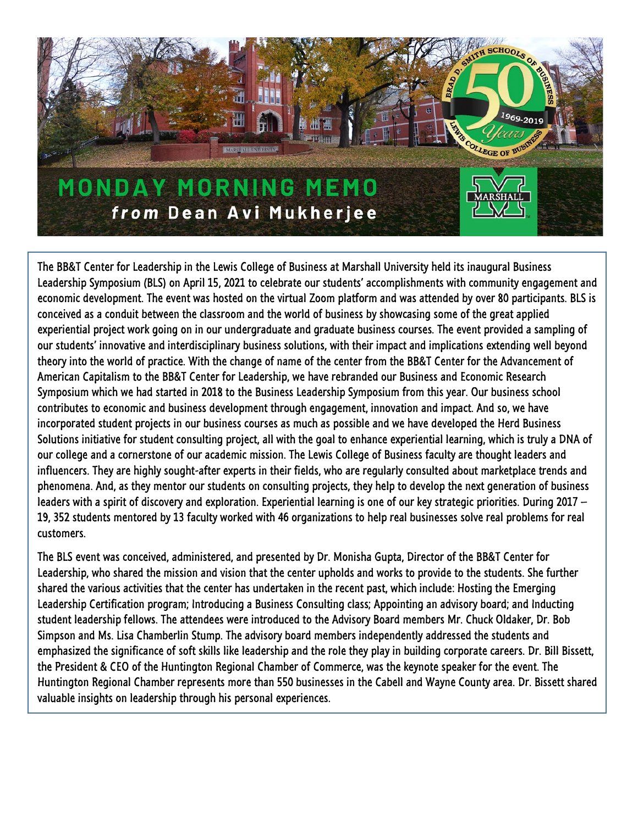

The BB&T Center for Leadership in the Lewis College of Business at Marshall University held its inaugural Business Leadership Symposium (BLS) on April 15, 2021 to celebrate our students' accomplishments with community engagement and economic development. The event was hosted on the virtual Zoom platform and was attended by over 80 participants. BLS is conceived as a conduit between the classroom and the world of business by showcasing some of the great applied experiential project work going on in our undergraduate and graduate business courses. The event provided a sampling of our students' innovative and interdisciplinary business solutions, with their impact and implications extending well beyond theory into the world of practice. With the change of name of the center from the BB&T Center for the Advancement of American Capitalism to the BB&T Center for Leadership, we have rebranded our Business and Economic Research Symposium which we had started in 2018 to the Business Leadership Symposium from this year. Our business school contributes to economic and business development through engagement, innovation and impact. And so, we have incorporated student projects in our business courses as much as possible and we have developed the Herd Business Solutions initiative for student consulting project, all with the goal to enhance experiential learning, which is truly a DNA of our college and a cornerstone of our academic mission. The Lewis College of Business faculty are thought leaders and influencers. They are highly sought-after experts in their fields, who are regularly consulted about marketplace trends and phenomena. And, as they mentor our students on consulting projects, they help to develop the next generation of business leaders with a spirit of discovery and exploration. Experiential learning is one of our key strategic priorities. During 2017 – 19, 352 students mentored by 13 faculty worked with 46 organizations to help real businesses solve real problems for real customers.

The BLS event was conceived, administered, and presented by Dr. Monisha Gupta, Director of the BB&T Center for Leadership, who shared the mission and vision that the center upholds and works to provide to the students. She further shared the various activities that the center has undertaken in the recent past, which include: Hosting the Emerging Leadership Certification program; Introducing a Business Consulting class; Appointing an advisory board; and Inducting student leadership fellows. The attendees were introduced to the Advisory Board members Mr. Chuck Oldaker, Dr. Bob Simpson and Ms. Lisa Chamberlin Stump. The advisory board members independently addressed the students and emphasized the significance of soft skills like leadership and the role they play in building corporate careers. Dr. Bill Bissett, the President & CEO of the Huntington Regional Chamber of Commerce, was the keynote speaker for the event. The Huntington Regional Chamber represents more than 550 businesses in the Cabell and Wayne County area. Dr. Bissett shared valuable insights on leadership through his personal experiences.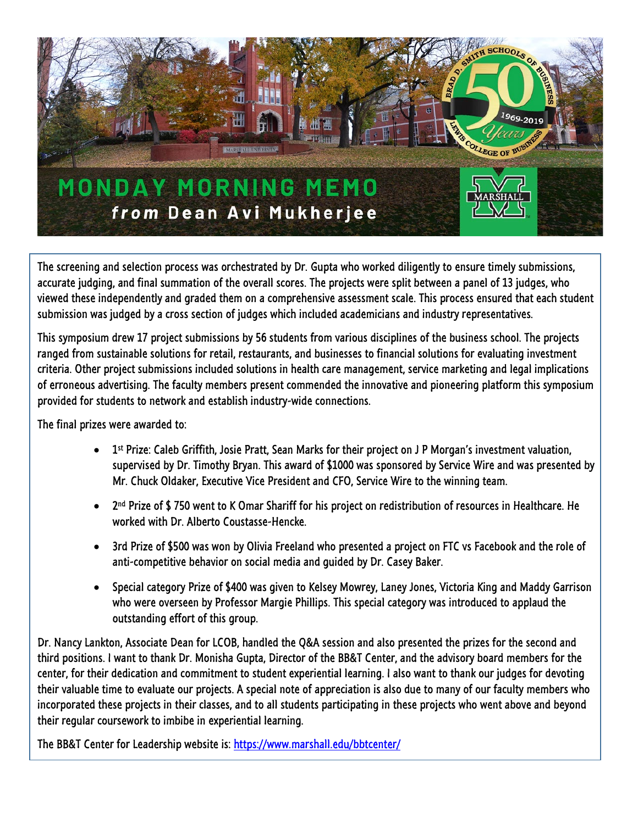

The screening and selection process was orchestrated by Dr. Gupta who worked diligently to ensure timely submissions, accurate judging, and final summation of the overall scores. The projects were split between a panel of 13 judges, who viewed these independently and graded them on a comprehensive assessment scale. This process ensured that each student submission was judged by a cross section of judges which included academicians and industry representatives.

This symposium drew 17 project submissions by 56 students from various disciplines of the business school. The projects ranged from sustainable solutions for retail, restaurants, and businesses to financial solutions for evaluating investment criteria. Other project submissions included solutions in health care management, service marketing and legal implications of erroneous advertising. The faculty members present commended the innovative and pioneering platform this symposium provided for students to network and establish industry-wide connections.

The final prizes were awarded to:

- 1<sup>st</sup> Prize: Caleb Griffith, Josie Pratt, Sean Marks for their project on J P Morgan's investment valuation, supervised by Dr. Timothy Bryan. This award of \$1000 was sponsored by Service Wire and was presented by Mr. Chuck Oldaker, Executive Vice President and CFO, Service Wire to the winning team.
- 2nd Prize of \$ 750 went to K Omar Shariff for his project on redistribution of resources in Healthcare. He worked with Dr. Alberto Coustasse-Hencke.
- 3rd Prize of \$500 was won by Olivia Freeland who presented a project on FTC vs Facebook and the role of anti-competitive behavior on social media and guided by Dr. Casey Baker.
- Special category Prize of \$400 was given to Kelsey Mowrey, Laney Jones, Victoria King and Maddy Garrison who were overseen by Professor Margie Phillips. This special category was introduced to applaud the outstanding effort of this group.

Dr. Nancy Lankton, Associate Dean for LCOB, handled the Q&A session and also presented the prizes for the second and third positions. I want to thank Dr. Monisha Gupta, Director of the BB&T Center, and the advisory board members for the center, for their dedication and commitment to student experiential learning. I also want to thank our judges for devoting their valuable time to evaluate our projects. A special note of appreciation is also due to many of our faculty members who incorporated these projects in their classes, and to all students participating in these projects who went above and beyond their regular coursework to imbibe in experiential learning.

The BB&T Center for Leadership website is:<https://www.marshall.edu/bbtcenter/>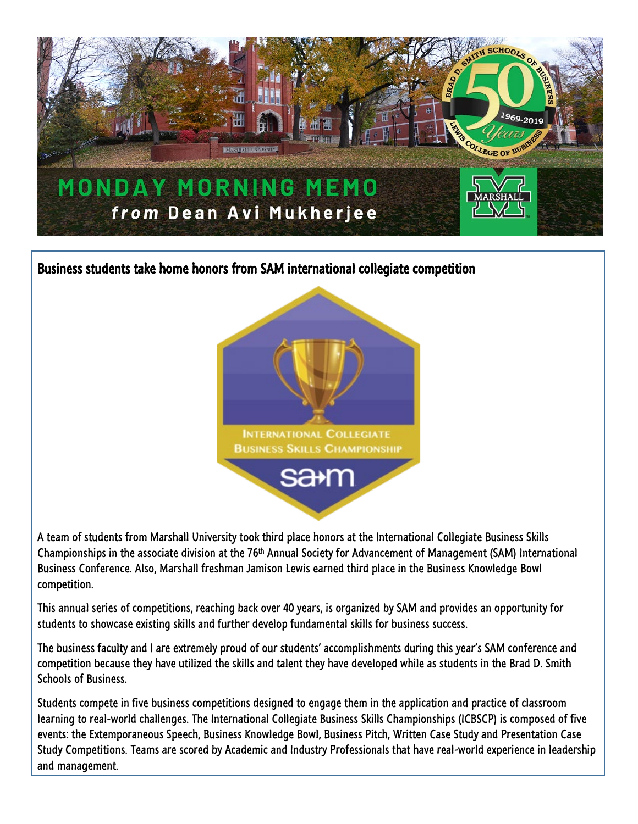

Business students take home honors from SAM international collegiate competition



A team of students from Marshall University took third place honors at the International Collegiate Business Skills Championships in the associate division at the 76th Annual Society for Advancement of Management (SAM) International Business Conference. Also, Marshall freshman Jamison Lewis earned third place in the Business Knowledge Bowl competition.

This annual series of competitions, reaching back over 40 years, is organized by SAM and provides an opportunity for students to showcase existing skills and further develop fundamental skills for business success.

The business faculty and I are extremely proud of our students' accomplishments during this year's SAM conference and competition because they have utilized the skills and talent they have developed while as students in the Brad D. Smith Schools of Business.

Students compete in five business competitions designed to engage them in the application and practice of classroom learning to real-world challenges. The International Collegiate Business Skills Championships (ICBSCP) is composed of five events: the Extemporaneous Speech, Business Knowledge Bowl, Business Pitch, Written Case Study and Presentation Case Study Competitions. Teams are scored by Academic and Industry Professionals that have real-world experience in leadership and management.